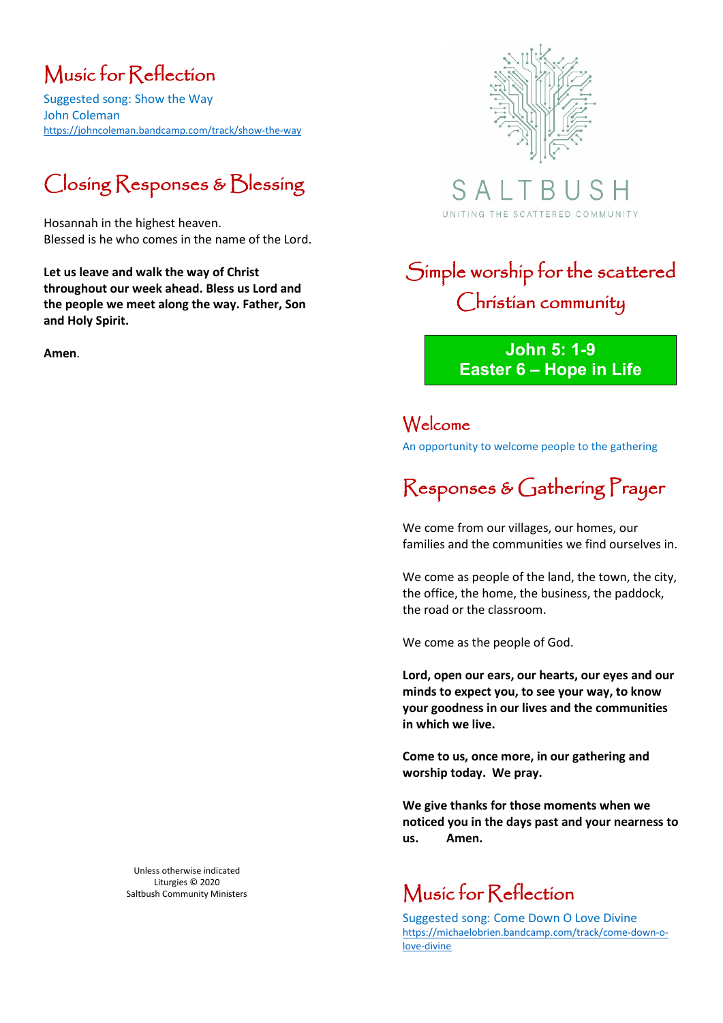# Music for Reflection

Suggested song: Show the Way John Coleman <https://johncoleman.bandcamp.com/track/show-the-way>

# Closing Responses & Blessing

Hosannah in the highest heaven. Blessed is he who comes in the name of the Lord.

**Let us leave and walk the way of Christ throughout our week ahead. Bless us Lord and the people we meet along the way. Father, Son and Holy Spirit.** 

**Amen**.



S A UNITING THE SCATTERED COMMUNITY

# Simple worship for the scattered Christian community

**John 5: 1-9 Easter 6 – Hope in Life**

Welcome An opportunity to welcome people to the gathering

# Responses & Gathering Prayer

We come from our villages, our homes, our families and the communities we find ourselves in.

We come as people of the land, the town, the city, the office, the home, the business, the paddock, the road or the classroom.

We come as the people of God.

**Lord, open our ears, our hearts, our eyes and our minds to expect you, to see your way, to know your goodness in our lives and the communities in which we live.**

**Come to us, once more, in our gathering and worship today. We pray.** 

**We give thanks for those moments when we noticed you in the days past and your nearness to us. Amen.**

## Music for Reflection

Suggested song: Come Down O Love Divine [https://michaelobrien.bandcamp.com/track/come-down-o](https://michaelobrien.bandcamp.com/track/come-down-o-love-divine)[love-divine](https://michaelobrien.bandcamp.com/track/come-down-o-love-divine)

Unless otherwise indicated Liturgies © 2020 Saltbush Community Ministers